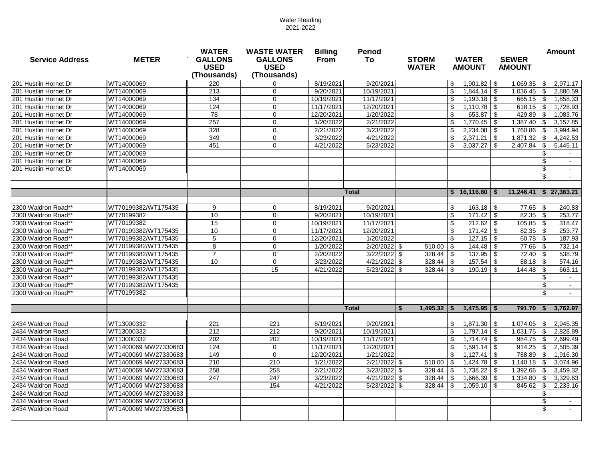| <b>Service Address</b> | <b>METER</b>         | <b>WATER</b><br><b>GALLONS</b><br><b>USED</b><br>(Thousands) | <b>WASTE WATER</b><br><b>GALLONS</b><br><b>USED</b><br>(Thousands) | <b>Billing</b><br><b>From</b> | <b>Period</b><br>To | <b>STORM</b><br><b>WATER</b> | <b>WATER</b><br><b>AMOUNT</b> | <b>SEWER</b><br><b>AMOUNT</b> | <b>Amount</b>                         |
|------------------------|----------------------|--------------------------------------------------------------|--------------------------------------------------------------------|-------------------------------|---------------------|------------------------------|-------------------------------|-------------------------------|---------------------------------------|
| 201 Hustlin Hornet Dr  | WT14000069           | 220                                                          | 0                                                                  | 8/19/2021                     | 9/20/2021           |                              | 1,901.82<br>\$                | 1,069.35<br>- \$              | 2,971.17<br>\$                        |
| 201 Hustlin Hornet Dr  | WT14000069           | 213                                                          | $\mathbf 0$                                                        | 9/20/2021                     | 10/19/2021          |                              | \$<br>1,844.14                | -\$<br>1,036.45               | $\boldsymbol{\mathsf{s}}$<br>2,880.59 |
| 201 Hustlin Hornet Dr  | WT14000069           | 134                                                          | 0                                                                  | 10/19/2021                    | 11/17/2021          |                              | \$<br>1,193.18                | 665.15<br>∣\$                 | $\boldsymbol{\mathsf{s}}$<br>1,858.33 |
| 201 Hustlin Hornet Dr  | WT14000069           | 124                                                          | $\mathbf 0$                                                        | 11/17/2021                    | 12/20/2021          |                              | \$<br>1,110.78                | 618.15<br>∣\$                 | $\boldsymbol{\mathsf{s}}$<br>1,728.93 |
| 201 Hustlin Hornet Dr  | WT14000069           | 78                                                           | $\mathbf 0$                                                        | 12/20/2021                    | 1/20/2022           |                              | \$<br>653.87                  | 429.89<br>-\$                 | \$<br>1,083.76                        |
| 201 Hustlin Hornet Dr  | WT14000069           | 257                                                          | $\mathbf 0$                                                        | 1/20/2022                     | 2/21/2022           |                              | 1,770.45<br>\$                | 1,387.40<br>∣\$               | 3,157.85<br>\$                        |
| 201 Hustlin Hornet Dr  | WT14000069           | 328                                                          | $\mathbf 0$                                                        | 2/21/2022                     | 3/23/2022           |                              | \$<br>2,234.08                | 1,760.86<br>- \$              | 3,994.94<br>\$                        |
| 201 Hustlin Hornet Dr  | WT14000069           | 349                                                          | $\mathbf 0$                                                        | 3/23/2022                     | 4/21/2022           |                              | \$<br>2,371.21                | 1,871.32<br>-\$               | 4,242.53<br>-\$                       |
| 201 Hustlin Hornet Dr  | WT14000069           | 451                                                          | $\mathbf 0$                                                        | 4/21/2022                     | 5/23/2022           |                              | \$<br>3,037.27                | 2,407.84<br>- \$              | \$<br>5,445.11                        |
| 201 Hustlin Hornet Dr  | WT14000069           |                                                              |                                                                    |                               |                     |                              |                               |                               | \$                                    |
| 201 Hustlin Hornet Dr  | WT14000069           |                                                              |                                                                    |                               |                     |                              |                               |                               | \$                                    |
| 201 Hustlin Hornet Dr  | WT14000069           |                                                              |                                                                    |                               |                     |                              |                               |                               | \$                                    |
|                        |                      |                                                              |                                                                    |                               |                     |                              |                               |                               | \$                                    |
|                        |                      |                                                              |                                                                    |                               | <b>Total</b>        |                              | $$16,116.80$ \ \$             |                               | $11,246.41$ \ \$ 27,363.21            |
|                        |                      |                                                              |                                                                    |                               |                     |                              |                               |                               |                                       |
| 2300 Waldron Road**    | WT70199382/WT175435  | 9                                                            | $\mathbf 0$                                                        | 8/19/2021                     | 9/20/2021           |                              | \$<br>$163.18$ \$             | 77.65                         | 240.83<br>- \$                        |
| 2300 Waldron Road**    | WT70199382           | 10                                                           | 0                                                                  | 9/20/2021                     | 10/19/2021          |                              | \$<br>$\overline{171.42}$     | ∣\$.                          | 253.77                                |
| 2300 Waldron Road**    | WT70199382           | 15                                                           | 0                                                                  | 10/19/2021                    | 11/17/2021          |                              | 212.62<br>\$                  | $105.85$ \$<br>l \$           | 318.47                                |
| 2300 Waldron Road**    | WT70199382/WT175435  | 10                                                           | $\mathbf 0$                                                        | 11/17/2021                    | 12/20/2021          |                              | $\boldsymbol{\mathsf{S}}$     |                               | 253.77                                |
| 2300 Waldron Road**    | WT70199382/WT175435  | $\overline{5}$                                               | $\mathbf 0$                                                        | 12/20/2021                    | 1/20/2022           |                              | \$                            |                               | 187.93                                |
| 2300 Waldron Road**    | WT70199382/WT175435  | 8                                                            | $\mathbf 0$                                                        | 1/20/2022                     | $2/20/2022$ \$      | $510.00$ \$                  | 144.48                        | $77.66$ \ \\$<br>  \$         | 732.14                                |
| 2300 Waldron Road**    | WT70199382/WT175435  | $\overline{7}$                                               | $\mathbf 0$                                                        | 2/20/2022                     | 3/22/2022           | $328.44$ \ \$<br>8           | 137.95                        | -\$<br>72.40                  | -\$<br>538.79                         |
| 2300 Waldron Road**    | WT70199382/WT175435  | 10                                                           | 0                                                                  | 3/23/2022                     | $4/21/2022$ \$      | $328.44$ \ \$                | 157.54                        | - \$                          | 574.16                                |
| 2300 Waldron Road**    | WT70199382/WT175435  |                                                              | 15                                                                 | 4/21/2022                     | $5/23/2022$ \$      | $328.44$ \ \$                | 190.19                        | ∣\$                           | 663.11                                |
| 2300 Waldron Road**    | WT70199382/WT175435  |                                                              |                                                                    |                               |                     |                              |                               |                               | \$                                    |
| 2300 Waldron Road**    | WT70199382/WT175435  |                                                              |                                                                    |                               |                     |                              |                               |                               | \$                                    |
| 2300 Waldron Road**    | WT70199382           |                                                              |                                                                    |                               |                     |                              |                               |                               | \$                                    |
|                        |                      |                                                              |                                                                    |                               | <b>Total</b>        | $1,495.32$   \$<br>-S        | $1,475.95$ \ \$               | $791.70$ $\frac{1}{5}$        | 3,762.97                              |
| 2434 Waldron Road      | WT13000332           | 221                                                          | 221                                                                | 8/19/2021                     | 9/20/2021           |                              | 1,871.30<br>S.                | ∣\$.<br>1,074.05              | \$<br>2,945.35                        |
| 2434 Waldron Road      | WT13000332           | 212                                                          | 212                                                                | 9/20/2021                     | 10/19/2021          |                              | $1,797.14$ $\sqrt$<br>- 56    | $1,031.75$ \\$                | 2,828.89                              |
| 2434 Waldron Road      | WT13000332           | 202                                                          | 202                                                                | 10/19/2021                    | 11/17/2021          |                              | \$                            |                               | 2,699.49                              |
| 2434 Waldron Road      | WT1400069 MW27330683 | 124                                                          | $\mathbf 0$                                                        | 11/17/2021                    | 12/20/2021          |                              | \$<br>$1,591.14$ \$           |                               | 2,505.39                              |
| 2434 Waldron Road      | WT1400069 MW27330683 | 149                                                          | $\mathbf 0$                                                        | 12/20/2021                    | 1/21/2022           |                              | \$<br>$1,127.41$ \\$          |                               | 1,916.30                              |
| 2434 Waldron Road      | WT1400069 MW27330683 | 210                                                          | 210                                                                | 1/21/2022                     | $2/21/2022$ \$      | $510.00$ \ \$                | $1,424.78$ \$                 |                               | 3,074.96                              |
| 2434 Waldron Road      | WT1400069 MW27330683 | 258                                                          | 258                                                                | 2/21/2022                     | $3/23/2022$ \$      | $328.44$ \ \$                | 1,738.22                      | $1,392.66$ \ \$<br>8          | 3,459.32                              |
| 2434 Waldron Road      | WT1400069 MW27330683 | 247                                                          | 247                                                                | 3/23/2022                     | $4/21/2022$ \$      |                              | $1,666.39$ \$                 | $1,334.80$ \ \$               | 3,329.63                              |
| 2434 Waldron Road      | WT1400069 MW27330683 |                                                              | 154                                                                | 4/21/2022                     | $5/23/2022$ \$      | $328.44$ \ \$                | $1,059.10$ \$                 |                               | 2,233.16                              |
| 2434 Waldron Road      | WT1400069 MW27330683 |                                                              |                                                                    |                               |                     |                              |                               |                               | \$                                    |
| 2434 Waldron Road      | WT1400069 MW27330683 |                                                              |                                                                    |                               |                     |                              |                               |                               | \$                                    |
| 2434 Waldron Road      | WT1400069 MW27330683 |                                                              |                                                                    |                               |                     |                              |                               |                               | \$                                    |
|                        |                      |                                                              |                                                                    |                               |                     |                              |                               |                               |                                       |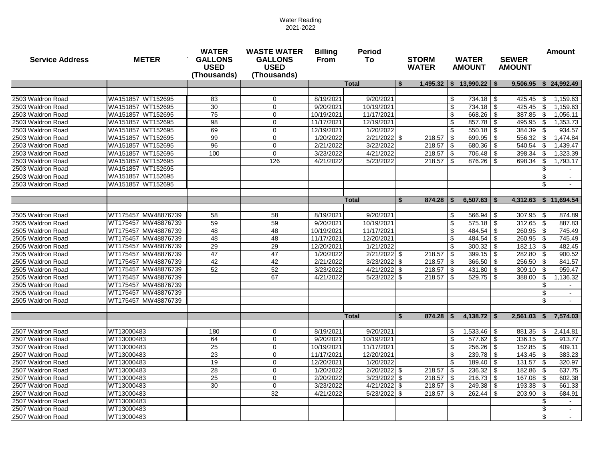| <b>Service Address</b> | <b>METER</b>        | <b>WATER</b><br><b>GALLONS</b><br><b>USED</b><br>(Thousands) | <b>WASTE WATER</b><br><b>GALLONS</b><br><b>USED</b><br>(Thousands) | <b>Billing</b><br><b>Period</b><br><b>From</b><br>To |                | <b>STORM</b><br><b>WATER</b> | <b>WATER</b><br><b>AMOUNT</b>       | <b>SEWER</b><br><b>AMOUNT</b>        | <b>Amount</b>             |
|------------------------|---------------------|--------------------------------------------------------------|--------------------------------------------------------------------|------------------------------------------------------|----------------|------------------------------|-------------------------------------|--------------------------------------|---------------------------|
|                        |                     |                                                              |                                                                    |                                                      | <b>Total</b>   | - 56                         | $1,495.32$   \$ 13,990.22           | - \$                                 | $9,506.95$ \$ 24,992.49   |
|                        |                     |                                                              |                                                                    |                                                      |                |                              |                                     |                                      |                           |
| 2503 Waldron Road      | WA151857 WT152695   | 83                                                           | 0                                                                  | 8/19/2021                                            | 9/20/2021      |                              | \$<br>734.18                        | -\$                                  | 1,159.63                  |
| 2503 Waldron Road      | WA151857 WT152695   | 30                                                           | $\mathbf 0$                                                        | 9/20/2021                                            | 10/19/2021     |                              | \$<br>734.18                        | \$<br>425.45                         | -\$<br>1,159.63           |
| 2503 Waldron Road      | WA151857 WT152695   | 75                                                           | $\mathbf 0$                                                        | 10/19/2021                                           | 11/17/2021     |                              | 668.26<br>\$                        | $387.85$ \ \$<br>\$                  | 1,056.11                  |
| 2503 Waldron Road      | WA151857 WT152695   | 98                                                           | $\mathbf 0$                                                        | 11/17/2021                                           | 12/19/2021     |                              | $\boldsymbol{\mathsf{s}}$<br>857.78 | $495.95$ \ \$<br>$\sqrt{3}$          | 1,353.73                  |
| 2503 Waldron Road      | WA151857 WT152695   | 69                                                           | $\mathbf 0$                                                        | 12/19/2021                                           | 1/20/2022      |                              | $\boldsymbol{\mathsf{s}}$<br>550.18 | $384.39$ \ \$<br>-\$                 | 934.57                    |
| 2503 Waldron Road      | WA151857 WT152695   | 99                                                           | $\mathbf 0$                                                        | 1/20/2022                                            | 2/21/2022 \$   | 218.57                       | \$<br>699.95                        | \$<br>556.32                         | 1,474.84<br>- \$          |
| 2503 Waldron Road      | WA151857 WT152695   | 96                                                           | $\mathbf 0$                                                        | 2/21/2022                                            | 3/22/2022      | 218.57                       | $\sqrt{3}$<br>680.36                | -\$<br>540.54                        | 1,439.47<br>- \$          |
| 2503 Waldron Road      | WA151857 WT152695   | 100                                                          | $\mathbf 0$                                                        | 3/23/2022                                            | 4/21/2022      |                              | 706.48                              | 398.34<br>\$                         | 1,323.39<br>l \$          |
| 2503 Waldron Road      | WA151857 WT152695   |                                                              | 126                                                                | 4/21/2022                                            | 5/23/2022      |                              | 876.26                              | -\$<br>698.34   \$                   | 1,793.17                  |
| 2503 Waldron Road      | WA151857 WT152695   |                                                              |                                                                    |                                                      |                |                              |                                     |                                      | \$                        |
| 2503 Waldron Road      | WA151857 WT152695   |                                                              |                                                                    |                                                      |                |                              |                                     |                                      | \$                        |
| 2503 Waldron Road      | WA151857 WT152695   |                                                              |                                                                    |                                                      |                |                              |                                     |                                      | $\mathfrak{S}$            |
|                        |                     |                                                              |                                                                    |                                                      |                |                              |                                     |                                      |                           |
|                        |                     |                                                              |                                                                    |                                                      | <b>Total</b>   | 874.28<br>-S                 | \$<br>6,507.63                      | <b>S</b>                             | $4,312.63$ \ \$ 11,694.54 |
| 2505 Waldron Road      | WT175457 MW48876739 | 58                                                           | 58                                                                 | 8/19/2021                                            | 9/20/2021      |                              | \$<br>566.94                        | $307.95$   \$                        | 874.89                    |
| 2505 Waldron Road      | WT175457 MW48876739 | 59                                                           | 59                                                                 | 9/20/2021                                            | 10/19/2021     |                              | \$<br>575.18                        | \$<br>\$<br>$312.65$   \$            | 887.83                    |
| 2505 Waldron Road      | WT175457 MW48876739 | 48                                                           | 48                                                                 |                                                      | 11/17/2021     |                              | \$                                  |                                      |                           |
| 2505 Waldron Road      | WT175457 MW48876739 | 48                                                           | 48                                                                 | 10/19/2021<br>11/17/2021                             | 12/20/2021     |                              | 484.54<br>\$<br>484.54              | \$<br>$260.95$ \ \$<br>$260.95$ \ \$ | 745.49<br>745.49          |
| 2505 Waldron Road      | WT175457 MW48876739 | 29                                                           | $\overline{29}$                                                    | 12/20/2021                                           | 1/21/2022      |                              | $\sqrt[6]{\frac{1}{2}}$<br>300.32   | \$<br>\$                             | 482.45                    |
| 2505 Waldron Road      | WT175457 MW48876739 | 47                                                           | 47                                                                 | 1/20/2022                                            | 2/21/2022 \$   | 218.57                       | $\sqrt{3}$<br>399.15                | $282.80$ \ \$                        | 900.52                    |
| 2505 Waldron Road      | WT175457 MW48876739 | 42                                                           | 42                                                                 | 2/21/2022                                            | 3/23/2022      | $218.57$ \$<br>- \$          | 366.50                              | \$<br>$256.50$ \ \$<br>\$            | 841.57                    |
| 2505 Waldron Road      | WT175457 MW48876739 | 52                                                           | 52                                                                 | 3/23/2022                                            | 4/21/2022      |                              | 431.80                              | $309.10$ \ \$                        | 959.47                    |
| 2505 Waldron Road      | WT175457 MW48876739 |                                                              | 67                                                                 | 4/21/2022                                            | 5/23/2022      | -\$<br>218.57<br>∣\$         | 529.75<br>l \$                      | \$<br>$388.00$   \$<br>-\$           | 1,136.32                  |
| 2505 Waldron Road      | WT175457 MW48876739 |                                                              |                                                                    |                                                      |                |                              |                                     |                                      | \$                        |
| 2505 Waldron Road      | WT175457 MW48876739 |                                                              |                                                                    |                                                      |                |                              |                                     |                                      | \$                        |
| 2505 Waldron Road      | WT175457 MW48876739 |                                                              |                                                                    |                                                      |                |                              |                                     |                                      | \$                        |
|                        |                     |                                                              |                                                                    |                                                      |                |                              |                                     |                                      |                           |
|                        |                     |                                                              |                                                                    |                                                      | <b>Total</b>   | $874.28$ \ \ \$<br><b>S</b>  | 4,138.72                            | $2,561.03$   \$<br>- \$              | 7,574.03                  |
|                        |                     |                                                              |                                                                    |                                                      |                |                              |                                     |                                      |                           |
| 2507 Waldron Road      | WT13000483          | 180                                                          | 0                                                                  | 8/19/2021                                            | 9/20/2021      |                              | $1,533.46$   \$<br>P.               | $881.35$   \$                        | 2,414.81                  |
| 2507 Waldron Road      | WT13000483          | 64                                                           | 0                                                                  | 9/20/2021                                            | 10/19/2021     |                              | \$                                  | $336.15$   \$                        | 913.77                    |
| 2507 Waldron Road      | WT13000483          | 25                                                           | 0                                                                  | 10/19/2021                                           | 11/17/2021     |                              | \$<br>$256.26$ \ \ \$               | $152.85$   \$                        | 409.11                    |
| 2507 Waldron Road      | WT13000483          | 23                                                           | 0                                                                  | 11/17/2021                                           | 12/20/2021     |                              | \$                                  | $143.45$   \$                        | 383.23                    |
| 2507 Waldron Road      | WT13000483          | 19                                                           | $\mathbf 0$                                                        | 12/20/2021                                           | 1/20/2022      |                              | $\mathfrak{F}$<br>$189.40$ \ \$     |                                      | 320.97                    |
| 2507 Waldron Road      | WT13000483          | 28                                                           | 0                                                                  | 1/20/2022                                            | 2/20/2022 \$   |                              |                                     | $182.86$   \$                        | 637.75                    |
| 2507 Waldron Road      | WT13000483          | 25                                                           | 0                                                                  | 2/20/2022                                            | $3/23/2022$ \$ |                              |                                     |                                      | 602.38                    |
| 2507 Waldron Road      | WT13000483          | 30                                                           | 0                                                                  | 3/23/2022                                            | $4/21/2022$ \$ |                              |                                     |                                      | 661.33                    |
| 2507 Waldron Road      | WT13000483          |                                                              | 32                                                                 | 4/21/2022                                            | 5/23/2022 \$   |                              |                                     | $203.90$ \ \$                        | 684.91                    |
| 2507 Waldron Road      | WT13000483          |                                                              |                                                                    |                                                      |                |                              |                                     |                                      | \$                        |
| 2507 Waldron Road      | WT13000483          |                                                              |                                                                    |                                                      |                |                              |                                     |                                      | \$                        |
| 2507 Waldron Road      | WT13000483          |                                                              |                                                                    |                                                      |                |                              |                                     |                                      | \$                        |
|                        |                     |                                                              |                                                                    |                                                      |                |                              |                                     |                                      |                           |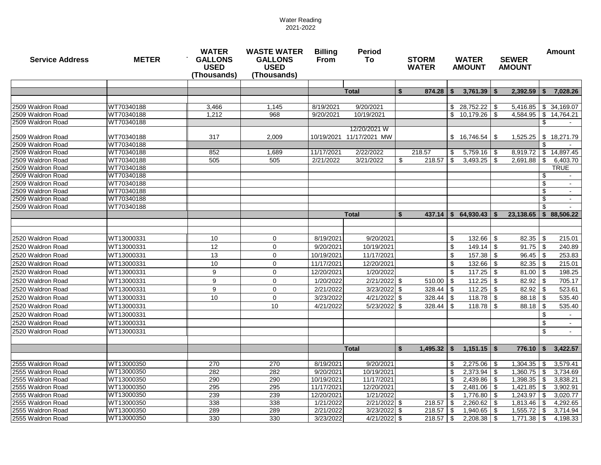| <b>Service Address</b>                 | <b>METER</b> | <b>WATER</b><br><b>GALLONS</b><br><b>USED</b><br>(Thousands) | <b>WASTE WATER</b><br><b>GALLONS</b><br><b>USED</b><br>(Thousands) | <b>Billing</b><br><b>From</b> | <b>Period</b><br>To      | <b>STORM</b><br><b>WATER</b> |               |                           | <b>WATER</b><br><b>AMOUNT</b>  | <b>SEWER</b><br><b>AMOUNT</b> |                      | <b>Amount</b>             |                      |
|----------------------------------------|--------------|--------------------------------------------------------------|--------------------------------------------------------------------|-------------------------------|--------------------------|------------------------------|---------------|---------------------------|--------------------------------|-------------------------------|----------------------|---------------------------|----------------------|
|                                        |              |                                                              |                                                                    |                               |                          |                              |               |                           |                                |                               |                      |                           |                      |
|                                        |              |                                                              |                                                                    |                               | <b>Total</b>             | <b>S</b>                     | 874.28        | - \$                      | 3,761.39                       |                               | 2,392.59             |                           | 7,028.26             |
| 2509 Waldron Road                      | WT70340188   | 3,466                                                        | 1,145                                                              | 8/19/2021                     | 9/20/2021                |                              |               |                           |                                |                               | 5,416.85             |                           | \$34,169.07          |
| 2509 Waldron Road                      | WT70340188   | 1,212                                                        | 968                                                                | 9/20/2021                     | 10/19/2021               |                              |               | \$                        | $10,179.26$ \$                 |                               | 4,584.95             | $\sqrt[6]{\frac{1}{2}}$   | 14,764.21            |
| 2509 Waldron Road                      | WT70340188   |                                                              |                                                                    |                               |                          |                              |               |                           |                                |                               |                      | \$                        |                      |
|                                        |              |                                                              |                                                                    |                               | 12/20/2021 W             |                              |               |                           |                                |                               |                      |                           |                      |
| 2509 Waldron Road                      | WT70340188   | 317                                                          | 2,009                                                              | 10/19/2021                    | 11/17/2021 MW            |                              |               |                           | $$16,746.54$ \ \ \$            |                               | 1,525.25             | \$                        | 18,271.79            |
| 2509 Waldron Road                      | WT70340188   |                                                              |                                                                    |                               |                          |                              |               |                           |                                |                               |                      | \$                        |                      |
| 2509 Waldron Road                      | WT70340188   | 852                                                          | 1,689                                                              | 11/17/2021                    | 2/22/2022                |                              | 218.57        | \$                        | $5,759.16$ \$                  |                               | 8,919.72             | \$                        | 14,897.45            |
| 2509 Waldron Road                      | WT70340188   | 505                                                          | 505                                                                | 2/21/2022                     | 3/21/2022                | $\boldsymbol{\mathsf{S}}$    | 218.57        | \$                        | $3,493.25$ \$                  |                               | 2,691.88             | \$                        | 6,403.70             |
| 2509 Waldron Road                      | WT70340188   |                                                              |                                                                    |                               |                          |                              |               |                           |                                |                               |                      |                           | <b>TRUE</b>          |
| 2509 Waldron Road                      | WT70340188   |                                                              |                                                                    |                               |                          |                              |               |                           |                                |                               |                      | \$                        |                      |
| 2509 Waldron Road                      | WT70340188   |                                                              |                                                                    |                               |                          |                              |               |                           |                                |                               |                      | \$                        |                      |
| 2509 Waldron Road                      | WT70340188   |                                                              |                                                                    |                               |                          |                              |               |                           |                                |                               |                      | \$                        |                      |
| 2509 Waldron Road                      | WT70340188   |                                                              |                                                                    |                               |                          |                              |               |                           |                                |                               |                      | $\boldsymbol{\mathsf{s}}$ |                      |
| 2509 Waldron Road                      | WT70340188   |                                                              |                                                                    |                               |                          |                              |               |                           |                                |                               |                      | \$                        |                      |
|                                        |              |                                                              |                                                                    |                               | <b>Total</b>             | <b>S</b>                     | 437.14        | $\mathbf{s}$              | $64,930.43$   \$               |                               | 23,138.65            | S.                        | 88,506.22            |
|                                        |              |                                                              |                                                                    |                               |                          |                              |               |                           |                                |                               |                      |                           |                      |
| 2520 Waldron Road                      | WT13000331   | 10                                                           | $\mathbf 0$                                                        | 8/19/2021                     | 9/20/2021                |                              |               | \$                        | $132.66$ \ \$                  |                               | 82.35                | \$                        | 215.01               |
| 2520 Waldron Road                      | WT13000331   | 12                                                           | $\pmb{0}$                                                          | 9/20/2021                     | 10/19/2021               |                              |               | $\boldsymbol{\mathsf{S}}$ | $149.14$ \\$                   |                               | 91.75                | -\$                       | 240.89               |
|                                        |              |                                                              |                                                                    |                               |                          |                              |               |                           |                                |                               |                      |                           |                      |
| 2520 Waldron Road                      | WT13000331   | 13                                                           | $\pmb{0}$                                                          | 10/19/2021                    | 11/17/2021               |                              |               | $\boldsymbol{\mathsf{S}}$ |                                |                               | 96.45                | - \$                      | 253.83               |
| 2520 Waldron Road                      | WT13000331   | 10                                                           | 0                                                                  | 11/17/2021                    | 12/20/2021               |                              |               | \$                        | $132.66$ \ \$                  |                               | 82.35                | -\$                       | 215.01               |
| 2520 Waldron Road                      | WT13000331   | 9                                                            | $\mathbf 0$                                                        | 12/20/2021                    | 1/20/2022                |                              |               | $\boldsymbol{\mathsf{S}}$ | $117.25$ \\$                   |                               | 81.00                | - \$                      | 198.25               |
| 2520 Waldron Road                      | WT13000331   | 9                                                            | 0                                                                  | 1/20/2022                     | 2/21/2022 \$             |                              | 510.00        | \$                        |                                |                               | 82.92                | - \$                      | 705.17               |
| 2520 Waldron Road                      | WT13000331   | 9                                                            | 0                                                                  | 2/21/2022                     | 3/23/2022 \$             |                              | 328.44        | \$                        | $112.25$ \ \$                  |                               | 82.92                | - \$                      | 523.61               |
| 2520 Waldron Road                      | WT13000331   | 10                                                           | 0                                                                  | 3/23/2022                     | 4/21/2022 \$             |                              | 328.44        | \$                        |                                |                               | 88.18                | -\$                       | 535.40               |
| 2520 Waldron Road                      | WT13000331   |                                                              | 10                                                                 | 4/21/2022                     | 5/23/2022 \$             |                              | 328.44        | -\$                       | 118.78                         | l \$                          | 88.18                | - \$                      | 535.40               |
| 2520 Waldron Road                      | WT13000331   |                                                              |                                                                    |                               |                          |                              |               |                           |                                |                               |                      | \$                        |                      |
| 2520 Waldron Road                      | WT13000331   |                                                              |                                                                    |                               |                          |                              |               |                           |                                |                               |                      | \$                        |                      |
| 2520 Waldron Road                      | WT13000331   |                                                              |                                                                    |                               |                          |                              |               |                           |                                |                               |                      | - 56                      |                      |
|                                        |              |                                                              |                                                                    |                               |                          |                              |               |                           |                                |                               |                      |                           |                      |
|                                        |              |                                                              |                                                                    |                               | <b>Total</b>             | \$                           | $1,495.32$ \$ |                           | $1,151.15$ \$                  |                               | 776.10               | <b>S</b>                  | 3,422.57             |
|                                        | WT13000350   |                                                              | 270                                                                |                               |                          |                              |               |                           |                                |                               |                      |                           |                      |
| 2555 Waldron Road                      | WT13000350   | 270                                                          |                                                                    | 8/19/2021                     | 9/20/2021                |                              |               | \$                        | $2,275.06$ \$                  |                               | 1,304.35             | \$                        | 3,579.41             |
| 2555 Waldron Road<br>2555 Waldron Road | WT13000350   | 282<br>290                                                   | 282<br>290                                                         | 9/20/2021<br>10/19/2021       | 10/19/2021<br>11/17/2021 |                              |               | \$<br>\$                  | $2,373.94$ \$<br>$2,439.86$ \$ |                               | 1,360.75<br>1,398.35 | \$<br>\$                  | 3,734.69<br>3,838.21 |
| 2555 Waldron Road                      | WT13000350   | 295                                                          | 295                                                                | 11/17/2021                    | 12/20/2021               |                              |               | \$                        | $2,481.06$ \ \$                |                               | 1,421.85             | - \$                      | 3,902.91             |
| 2555 Waldron Road                      | WT13000350   | 239                                                          | 239                                                                | 12/20/2021                    | 1/21/2022                |                              |               | \$                        | $1,776.80$ \ \$                |                               | 1,243.97             | ∣\$                       | 3,020.77             |
| 2555 Waldron Road                      | WT13000350   | 338                                                          | 338                                                                | 1/21/2022                     | 2/21/2022 \$             |                              | 218.57        | -\$                       | $2,260.62$ \$                  |                               | 1,813.46             | ∣\$                       | 4,292.65             |
| 2555 Waldron Road                      | WT13000350   | 289                                                          | 289                                                                | 2/21/2022                     | $3/23/2022$ \$           |                              | $218.57$   \$ |                           | $1,940.65$ \$                  |                               | $1,555.72$ \\$       |                           | 3,714.94             |
| 2555 Waldron Road                      | WT13000350   | 330                                                          | 330                                                                | 3/23/2022                     | 4/21/2022 \$             |                              | $218.57$   \$ |                           | $2,208.38$ \$                  |                               |                      |                           | 4,198.33             |
|                                        |              |                                                              |                                                                    |                               |                          |                              |               |                           |                                |                               |                      |                           |                      |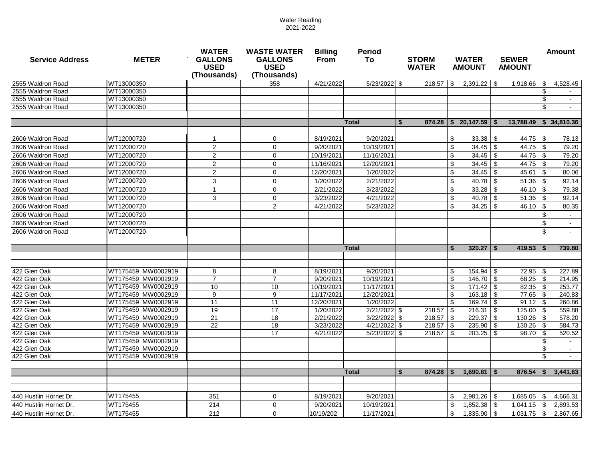| <b>Service Address</b>       | <b>METER</b>                             | <b>WATER</b><br><b>GALLONS</b><br><b>USED</b><br>(Thousands) | <b>WASTE WATER</b><br><b>GALLONS</b><br><b>USED</b><br>(Thousands) | <b>Billing</b><br><b>From</b> | <b>Period</b><br>To            | <b>STORM</b><br><b>WATER</b> | <b>WATER</b><br><b>AMOUNT</b> | <b>SEWER</b><br><b>AMOUNT</b> | <b>Amount</b> |
|------------------------------|------------------------------------------|--------------------------------------------------------------|--------------------------------------------------------------------|-------------------------------|--------------------------------|------------------------------|-------------------------------|-------------------------------|---------------|
| 2555 Waldron Road            | WT13000350                               |                                                              | 358                                                                | 4/21/2022                     | $5/23/2022$ \$                 |                              | $2,391.22$ \$                 | $1,918.66$ \ \$               | 4,528.45      |
| 2555 Waldron Road            | WT13000350                               |                                                              |                                                                    |                               |                                |                              |                               |                               | \$            |
| 2555 Waldron Road            | WT13000350                               |                                                              |                                                                    |                               |                                |                              |                               |                               | \$            |
| 2555 Waldron Road            | WT13000350                               |                                                              |                                                                    |                               |                                |                              |                               |                               | \$            |
|                              |                                          |                                                              |                                                                    |                               |                                |                              |                               |                               |               |
|                              |                                          |                                                              |                                                                    |                               | <b>Total</b>                   | 874.28<br>-S                 | Ŝ.<br>20,147.59               | 13,788.49<br><b>S</b>         | \$34,810.36   |
|                              |                                          |                                                              |                                                                    |                               |                                |                              |                               |                               |               |
| 2606 Waldron Road            | WT12000720                               | 1                                                            | 0                                                                  | 8/19/2021                     | 9/20/2021                      |                              | \$<br>33.38                   | \$<br>$44.75$ \\$             | 78.13         |
| 2606 Waldron Road            | WT12000720                               | $\overline{2}$                                               | $\mathbf 0$                                                        | 9/20/2021                     | 10/19/2021                     |                              | \$<br>34.45                   | $\sqrt{3}$                    | 79.20         |
| 2606 Waldron Road            | WT12000720                               | $\overline{2}$                                               | $\mathbf 0$                                                        | 10/19/2021                    | 11/16/2021                     |                              | \$<br>34.45                   | $\sqrt{3}$<br>$44.75$ \\$     | 79.20         |
| 2606 Waldron Road            | WT12000720                               | $\overline{2}$                                               | $\mathbf 0$                                                        | 11/16/2021                    | 12/20/2021                     |                              | \$<br>$34.45$ \$              |                               | 79.20         |
| 2606 Waldron Road            | WT12000720                               | $\overline{2}$                                               | $\mathbf 0$                                                        | 12/20/2021                    | 1/20/2022                      |                              | \$<br>34.45                   | \$                            | 80.06         |
| 2606 Waldron Road            | WT12000720                               | 3                                                            | $\mathbf 0$                                                        | 1/20/2022                     | 2/21/2022                      |                              | \$<br>40.78                   | \$                            | 92.14         |
| 2606 Waldron Road            | WT12000720                               | $\mathbf 1$                                                  | $\mathbf 0$                                                        | 2/21/2022                     | 3/23/2022                      |                              | \$<br>33.28                   | 46.10 $\frac{1}{9}$<br>\$     | 79.38         |
| 2606 Waldron Road            | WT12000720                               | 3                                                            | $\mathbf 0$                                                        | 3/23/2022                     | 4/21/2022                      |                              | \$<br>40.78                   | \$                            | 92.14         |
| 2606 Waldron Road            | WT12000720                               |                                                              | $\sqrt{2}$                                                         | 4/21/2022                     | 5/23/2022                      |                              | \$<br>34.25                   | \$<br>$46.10$ \ \$            | 80.35         |
| 2606 Waldron Road            | WT12000720                               |                                                              |                                                                    |                               |                                |                              |                               |                               | S             |
| 2606 Waldron Road            | WT12000720                               |                                                              |                                                                    |                               |                                |                              |                               |                               | \$            |
| 2606 Waldron Road            | WT12000720                               |                                                              |                                                                    |                               |                                |                              |                               |                               | \$            |
|                              |                                          |                                                              |                                                                    |                               |                                |                              |                               |                               |               |
|                              |                                          |                                                              |                                                                    |                               | <b>Total</b>                   |                              | 320.27<br>Ŝ.                  | - \$<br>$419.53$   \$         | 739.80        |
|                              |                                          |                                                              |                                                                    |                               |                                |                              |                               |                               |               |
|                              |                                          |                                                              |                                                                    |                               |                                |                              |                               |                               |               |
| 422 Glen Oak                 | WT175459 MW0002919                       | 8                                                            | 8                                                                  | 8/19/2021                     | 9/20/2021                      |                              | \$<br>154.94                  | $72.95$ \ \$<br>\$            | 227.89        |
| 422 Glen Oak                 | WT175459 MW0002919                       | $\overline{7}$                                               | $\overline{7}$                                                     | 9/20/2021                     | 10/19/2021                     |                              | \$<br>146.70                  | \$                            | 214.95        |
| 422 Glen Oak                 | WT175459 MW0002919                       | 10                                                           | 10                                                                 | 10/19/2021                    | 11/17/2021                     |                              | \$<br>171.42                  | \$                            | 253.77        |
| 422 Glen Oak                 | WT175459 MW0002919                       | 9                                                            | 9                                                                  | 11/17/2021                    | 12/20/2021                     |                              | \$                            | $77.65$ \ \$                  | 240.83        |
| 422 Glen Oak                 | WT175459 MW0002919                       | 11                                                           | 11                                                                 | 12/20/2021                    | 1/20/2022                      |                              | \$<br>169.74                  | $\sqrt{3}$                    | 260.86        |
| 422 Glen Oak                 | WT175459 MW0002919                       | 19                                                           | 17                                                                 | 1/20/2022                     | $2/21/2022$ \$                 | 218.57                       | \$<br>216.31                  | $\sqrt{3}$<br>$125.00$   \$   | 559.88        |
| 422 Glen Oak                 | WT175459 MW0002919                       | 21                                                           | 18                                                                 | 2/21/2022                     | 3/22/2022 \$                   | 218.57                       | 229.37                        | -\$<br>$130.26$   \$          | 578.20        |
| 422 Glen Oak                 | WT175459 MW0002919                       | 22                                                           | 18<br>17                                                           | 3/23/2022                     | 4/21/2022 \$<br>$5/23/2022$ \$ | 218.57                       | -\$<br>235.90<br>$203.25$ \\$ | \$<br>$130.26$   \$           | 584.73        |
| 422 Glen Oak<br>422 Glen Oak | WT175459 MW0002919<br>WT175459 MW0002919 |                                                              |                                                                    | 4/21/2022                     |                                |                              |                               | $98.70$ \$                    | 520.52<br>\$  |
| 422 Glen Oak                 | WT175459 MW0002919                       |                                                              |                                                                    |                               |                                |                              |                               |                               | \$            |
| 422 Glen Oak                 | WT175459 MW0002919                       |                                                              |                                                                    |                               |                                |                              |                               |                               | \$            |
|                              |                                          |                                                              |                                                                    |                               |                                |                              |                               |                               |               |
|                              |                                          |                                                              |                                                                    |                               | <b>Total</b>                   | 874.28<br>-S                 | 1,690.81<br>-S                | 876.54<br>-\$                 | 3,441.63      |
|                              |                                          |                                                              |                                                                    |                               |                                |                              |                               |                               |               |
|                              |                                          |                                                              |                                                                    |                               |                                |                              |                               |                               |               |
| 440 Hustlin Hornet Dr.       | WT175455                                 | 351                                                          | $\mathbf 0$                                                        | 8/19/2021                     | 9/20/2021                      |                              | \$<br>$2,981.26$ \$           | $1,685.05$ \ \$               | 4,666.31      |
| 440 Hustlin Hornet Dr.       | WT175455                                 | 214                                                          | $\pmb{0}$                                                          | 9/20/2021                     | 10/19/2021                     |                              | 1,852.38<br>\$                | $\sqrt{3}$<br>$1,041.15$ \$   | 2,893.53      |
| 440 Hustlin Hornet Dr.       | WT175455                                 | 212                                                          | 0                                                                  | 10/19/202                     | 11/17/2021                     |                              | \$<br>1,835.90                | \$<br>$1,031.75$ \$           | 2,867.65      |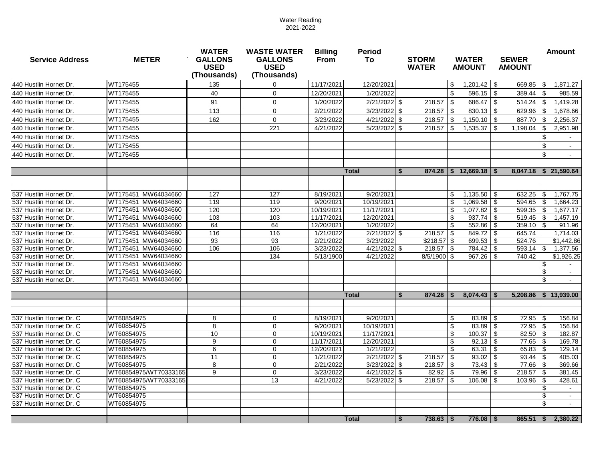| <b>Service Address</b>   | <b>METER</b>          | <b>WATER</b><br><b>GALLONS</b><br><b>USED</b><br>(Thousands) | <b>WASTE WATER</b><br><b>GALLONS</b><br><b>USED</b><br>(Thousands) | <b>Billing</b><br><b>From</b> | <b>Period</b><br>To   | <b>STORM</b><br><b>WATER</b>   | <b>WATER</b><br><b>AMOUNT</b> | <b>SEWER</b><br><b>AMOUNT</b> | <b>Amount</b>                         |
|--------------------------|-----------------------|--------------------------------------------------------------|--------------------------------------------------------------------|-------------------------------|-----------------------|--------------------------------|-------------------------------|-------------------------------|---------------------------------------|
| 440 Hustlin Hornet Dr.   | WT175455              | 135                                                          | 0                                                                  | 11/17/2021                    | 12/20/2021            |                                | 1,201.42<br>\$                | $\sqrt{3}$<br>669.85          | $\boldsymbol{\mathsf{s}}$<br>1,871.27 |
| 440 Hustlin Hornet Dr.   | WT175455              | 40                                                           | 0                                                                  | 12/20/2021                    | 1/20/2022             |                                | \$.<br>596.15                 | $\sqrt{3}$<br>389.44          | \$<br>985.59                          |
| 440 Hustlin Hornet Dr.   | WT175455              | 91                                                           | $\mathbf 0$                                                        | 1/20/2022                     | $2/21/2022$ \$        | $218.57$ \$                    | 686.47                        | $\sqrt{3}$<br>514.24          | $\boldsymbol{\mathsf{S}}$<br>1,419.28 |
| 440 Hustlin Hornet Dr.   | WT175455              | 113                                                          | $\mathbf 0$                                                        | 2/21/2022                     | $3/23/2022$ \$        | $218.57$ \ \$                  | 830.13                        | l \$<br>629.96                | $\boldsymbol{\mathsf{S}}$<br>1,678.66 |
| 440 Hustlin Hornet Dr.   | WT175455              | 162                                                          |                                                                    | 3/23/2022                     | 4/21/2022 \$          | $218.57$ \ \$                  |                               |                               | \$                                    |
|                          |                       |                                                              | $\mathbf 0$                                                        |                               |                       |                                | 1,150.10                      | l \$<br>887.70                | 2,256.37                              |
| 440 Hustlin Hornet Dr.   | WT175455              |                                                              | 221                                                                | 4/21/2022                     | 5/23/2022             | 218.57<br>-\$                  | 1,535.37<br>\$                | 1,198.04<br>-\$               | 2,951.98<br>\$                        |
| 440 Hustlin Hornet Dr.   | WT175455              |                                                              |                                                                    |                               |                       |                                |                               |                               | $\boldsymbol{\mathsf{S}}$             |
| 440 Hustlin Hornet Dr.   | WT175455              |                                                              |                                                                    |                               |                       |                                |                               |                               | \$                                    |
| 440 Hustlin Hornet Dr.   | WT175455              |                                                              |                                                                    |                               |                       |                                |                               |                               | $\sqrt[6]{\frac{1}{2}}$<br>$\sim$     |
|                          |                       |                                                              |                                                                    |                               |                       |                                |                               |                               |                                       |
|                          |                       |                                                              |                                                                    |                               | <b>Total</b>          | - \$                           | $874.28$   \$ 12,669.18   \$  |                               | $8,047.18$ \$ 21,590.64               |
|                          |                       |                                                              |                                                                    |                               |                       |                                |                               |                               |                                       |
| 537 Hustlin Hornet Dr.   | WT175451 MW64034660   | 127                                                          | 127                                                                | 8/19/2021                     | 9/20/2021             |                                | \$<br>1,135.50                | 632.25<br>  \$                | \$<br>1,767.75                        |
| 537 Hustlin Hornet Dr.   | WT175451 MW64034660   | 119                                                          | 119                                                                | 9/20/2021                     | 10/19/2021            |                                | \$<br>1,069.58                | 594.65<br>- \$                | $\boldsymbol{\mathsf{s}}$<br>1,664.23 |
| 537 Hustlin Hornet Dr.   | WT175451 MW64034660   | 120                                                          | 120                                                                | 10/19/2021                    | 11/17/2021            |                                | 1,077.82<br>\$                | \$<br>599.35                  | \$<br>1,677.17                        |
| 537 Hustlin Hornet Dr.   | WT175451 MW64034660   | 103                                                          | 103                                                                | 11/17/2021                    | 12/20/2021            |                                | 937.74<br>\$                  | 519.45<br>- \$                | \$<br>1,457.19                        |
| 537 Hustlin Hornet Dr.   | WT175451 MW64034660   | 64                                                           | 64                                                                 | 12/20/2021                    | 1/20/2022             |                                | \$<br>552.86                  | -\$<br>359.10                 | -\$<br>911.96                         |
| 537 Hustlin Hornet Dr.   | WT175451 MW64034660   | 116                                                          | 116                                                                | 1/21/2022                     | $\sqrt{2/21/2022}$ \$ | $218.57$ \ \$                  | 849.72                        | -\$<br>645.74                 | 1,714.03                              |
| 537 Hustlin Hornet Dr.   | WT175451 MW64034660   | 93                                                           | 93                                                                 | 2/21/2022                     | 3/23/2022             | $$218.57$ \\$                  | 699.53                        | -\$<br>524.76                 | \$1,442.86                            |
| 537 Hustlin Hornet Dr.   | WT175451 MW64034660   | 106                                                          | 106                                                                | 3/23/2022                     | $4/21/2022$ \$        | $218.57$ \ \$                  | 784.42                        | $593.14$ \\$<br>∣\$           | 1,377.56                              |
| 537 Hustlin Hornet Dr.   | WT175451 MW64034660   |                                                              | 134                                                                | 5/13/1900                     | 4/21/2022             | 8/5/1900 \$                    | 967.26                        | 740.42<br>- \$                | \$1,926.25                            |
| 537 Hustlin Hornet Dr.   | WT175451 MW64034660   |                                                              |                                                                    |                               |                       |                                |                               |                               | \$                                    |
| 537 Hustlin Hornet Dr.   | WT175451 MW64034660   |                                                              |                                                                    |                               |                       |                                |                               |                               | \$                                    |
| 537 Hustlin Hornet Dr.   | WT175451 MW64034660   |                                                              |                                                                    |                               |                       |                                |                               |                               | \$<br>$\sim$                          |
|                          |                       |                                                              |                                                                    |                               |                       |                                |                               |                               |                                       |
|                          |                       |                                                              |                                                                    |                               | <b>Total</b>          | 874.28<br>-S                   | 8,074.43<br><b>S</b>          | ∣ S                           | $5,208.86$ \ \$ 13,939.00             |
|                          |                       |                                                              |                                                                    |                               |                       |                                |                               |                               |                                       |
| 537 Hustlin Hornet Dr. C | WT60854975            | 8                                                            | 0                                                                  | 8/19/2021                     | 9/20/2021             |                                | 83.89<br>S                    | 72.95<br>-\$                  | - \$<br>156.84                        |
| 537 Hustlin Hornet Dr. C | WT60854975            | 8                                                            | $\mathbf 0$                                                        | 9/20/2021                     | 10/19/2021            |                                | $\mathfrak{S}$<br>$83.89$ \$  | $72.95$ \$                    | 156.84                                |
| 537 Hustlin Hornet Dr. C | WT60854975            | 10                                                           | 0                                                                  | 10/19/2021                    | 11/17/2021            |                                | \$<br>$100.37$ \ \$           | $82.50$   \$                  | 182.87                                |
| 537 Hustlin Hornet Dr. C | WT60854975            | 9                                                            | $\mathbf 0$                                                        | 11/17/2021                    | 12/20/2021            |                                | \$                            |                               | 169.78                                |
| 537 Hustlin Hornet Dr. C | WT60854975            | 6                                                            | $\mathbf 0$                                                        | 12/20/2021                    | 1/21/2022             |                                | $\boldsymbol{\mathsf{s}}$     |                               | 129.14                                |
| 537 Hustlin Hornet Dr. C | WT60854975            | 11                                                           | 0                                                                  | 1/21/2022                     | $\sqrt{2}/21/2022$ \$ | $218.57$ \$                    | $93.02$ \$                    |                               | 405.03                                |
| 537 Hustlin Hornet Dr. C | WT60854975            | 8                                                            | $\mathbf 0$                                                        | 2/21/2022                     | 3/23/2022 \$          |                                |                               |                               | 369.66                                |
| 537 Hustlin Hornet Dr. C | WT60854975/WT70333165 | 9                                                            | $\mathbf 0$                                                        | 3/23/2022                     | $4/21/2022$ \$        |                                | $79.96$ \$                    |                               | 381.45                                |
| 537 Hustlin Hornet Dr. C | WT60854975/WT70333165 |                                                              | 13                                                                 | 4/21/2022                     | 5/23/2022 \$          |                                |                               | $103.96$ \ \$                 | 428.61                                |
| 537 Hustlin Hornet Dr. C | WT60854975            |                                                              |                                                                    |                               |                       |                                |                               |                               | \$                                    |
| 537 Hustlin Hornet Dr. C | WT60854975            |                                                              |                                                                    |                               |                       |                                |                               |                               | \$                                    |
| 537 Hustlin Hornet Dr. C | WT60854975            |                                                              |                                                                    |                               |                       |                                |                               |                               | \$                                    |
|                          |                       |                                                              |                                                                    |                               | <b>Total</b>          | $738.63$   \$<br>$\sqrt[6]{3}$ | $776.08$ \ \$                 | $865.51$ \ \ \$               | 2,380.22                              |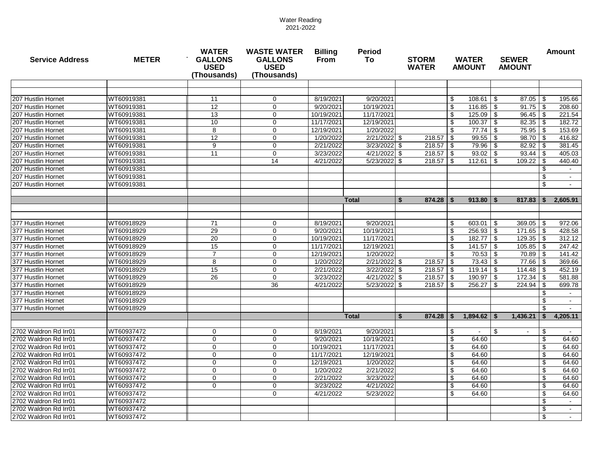| <b>Service Address</b>                   | <b>METER</b>             | <b>WATER</b><br><b>GALLONS</b><br><b>USED</b><br>(Thousands) | <b>WASTE WATER</b><br><b>GALLONS</b><br><b>USED</b><br>(Thousands) | <b>Billing</b><br><b>From</b> | <b>Period</b><br>To     | <b>STORM</b><br><b>WATER</b> | <b>WATER</b><br><b>AMOUNT</b>                       | <b>SEWER</b><br><b>AMOUNT</b> | <b>Amount</b>                      |  |  |
|------------------------------------------|--------------------------|--------------------------------------------------------------|--------------------------------------------------------------------|-------------------------------|-------------------------|------------------------------|-----------------------------------------------------|-------------------------------|------------------------------------|--|--|
|                                          |                          |                                                              |                                                                    |                               |                         |                              |                                                     |                               |                                    |  |  |
|                                          |                          |                                                              |                                                                    |                               |                         |                              |                                                     |                               |                                    |  |  |
| 207 Hustlin Hornet<br>207 Hustlin Hornet | WT60919381<br>WT60919381 | 11<br>$\overline{12}$                                        | $\mathbf 0$                                                        | 8/19/2021<br>9/20/2021        | 9/20/2021<br>10/19/2021 |                              | 108.61<br>\$                                        | -\$                           | 195.66                             |  |  |
| 207 Hustlin Hornet                       | WT60919381               | 13                                                           | 0                                                                  | 10/19/2021                    | 11/17/2021              |                              | \$<br>116.85                                        | - \$                          | 208.60                             |  |  |
| 207 Hustlin Hornet                       | WT60919381               | 10                                                           | $\mathbf 0$<br>$\mathbf 0$                                         | 11/17/2021                    | 12/19/2021              |                              | 125.09<br>\$<br>$\boldsymbol{\mathsf{S}}$<br>100.37 | \$<br><b>\$</b>               | 221.54<br>182.72                   |  |  |
| 207 Hustlin Hornet                       | WT60919381               | 8                                                            | $\mathbf 0$                                                        | 12/19/2021                    | 1/20/2022               |                              | 77.74<br>\$                                         | $75.95$ \\$<br>l \$           | 153.69                             |  |  |
| 207 Hustlin Hornet                       | WT60919381               | 12                                                           | $\mathbf 0$                                                        | 1/20/2022                     | $2/21/2022$ \$          |                              | 99.55                                               | $98.70$ \$<br>\$              | 416.82                             |  |  |
| 207 Hustlin Hornet                       | WT60919381               | 9                                                            | $\mathbf 0$                                                        | 2/21/2022                     | $3/23/2022$ \$          | $218.57$ \ \$                | 79.96                                               | 82.92<br>- \$                 | 381.45<br>-\$                      |  |  |
| 207 Hustlin Hornet                       | WT60919381               | 11                                                           | $\mathbf 0$                                                        | 3/23/2022                     | 4/21/2022 \$            |                              | 93.02                                               | ∣\$.                          | 405.03                             |  |  |
| 207 Hustlin Hornet                       | WT60919381               |                                                              | 14                                                                 | $\frac{4}{21/2022}$           | 5/23/2022 \$            | $218.57$ \\$                 | 112.61                                              | 109.22<br>- \$                | 440.40<br>-\$                      |  |  |
| 207 Hustlin Hornet                       | WT60919381               |                                                              |                                                                    |                               |                         |                              |                                                     |                               | \$                                 |  |  |
| 207 Hustlin Hornet                       | WT60919381               |                                                              |                                                                    |                               |                         |                              |                                                     |                               | \$                                 |  |  |
| 207 Hustlin Hornet                       | WT60919381               |                                                              |                                                                    |                               |                         |                              |                                                     |                               | \$                                 |  |  |
|                                          |                          |                                                              |                                                                    |                               |                         |                              |                                                     |                               |                                    |  |  |
|                                          |                          |                                                              |                                                                    |                               | <b>Total</b>            | $874.28$ \ \$<br>S           | $913.80$   \$                                       | 817.83                        | 2,605.91<br>- \$                   |  |  |
|                                          |                          |                                                              |                                                                    |                               |                         |                              |                                                     |                               |                                    |  |  |
| 377 Hustlin Hornet                       | WT60918929               | 71                                                           | 0                                                                  | 8/19/2021                     | 9/20/2021               |                              | \$<br>603.01                                        | $369.05$ \ \$<br>8            | 972.06                             |  |  |
| 377 Hustlin Hornet                       | WT60918929               | 29                                                           | 0                                                                  | 9/20/2021                     | 10/19/2021              |                              | $256.93$ \$<br>\$                                   | $171.65$ \ \$                 | 428.58                             |  |  |
| 377 Hustlin Hornet                       | WT60918929               | 20                                                           | $\mathbf 0$                                                        | 10/19/2021                    | 11/17/2021              |                              | 182.77<br>\$                                        | $\sqrt{3}$                    | 312.12                             |  |  |
| 377 Hustlin Hornet                       | WT60918929               | 15                                                           | $\mathbf 0$                                                        | 11/17/2021                    | 12/19/2021              |                              | $\boldsymbol{\mathsf{S}}$<br>141.57                 | <b>\$</b>                     | 247.42                             |  |  |
| 377 Hustlin Hornet                       | WT60918929               | $\overline{7}$                                               | $\mathbf 0$                                                        | 12/19/2021                    | 1/20/2022               |                              | 70.53<br>\$                                         | $70.89$ \ \ \$<br>∣\$         | 141.42                             |  |  |
| 377 Hustlin Hornet                       | WT60918929               | 8                                                            | $\mathbf 0$                                                        | 1/20/2022                     | $2/21/2022$ \$          | $218.57$ \$                  | 73.43                                               | $77.66$ \ \\$<br>∣\$          | 369.66                             |  |  |
| 377 Hustlin Hornet                       | WT60918929               | 15                                                           | $\mathbf 0$                                                        | 2/21/2022                     | $3/22/2022$ \$          |                              | 119.14                                              | ∣\$                           | 452.19                             |  |  |
| 377 Hustlin Hornet                       | WT60918929               | 26                                                           | $\mathsf 0$                                                        | 3/23/2022                     | 4/21/2022 \$            | $218.57$ \$                  | 190.97                                              | <b>\$</b><br>$172.34$   \$    | 581.88                             |  |  |
| 377 Hustlin Hornet                       | WT60918929               |                                                              | $\overline{36}$                                                    | 4/21/2022                     | 5/23/2022 \$            | $218.57$ \ \$                | 256.27                                              | 224.94<br>-\$                 | -\$<br>699.78                      |  |  |
| 377 Hustlin Hornet                       | WT60918929               |                                                              |                                                                    |                               |                         |                              |                                                     |                               | \$                                 |  |  |
| 377 Hustlin Hornet                       | WT60918929               |                                                              |                                                                    |                               |                         |                              |                                                     |                               | \$                                 |  |  |
| 377 Hustlin Hornet                       | WT60918929               |                                                              |                                                                    |                               |                         |                              |                                                     |                               | \$                                 |  |  |
|                                          |                          |                                                              |                                                                    |                               | <b>Total</b>            | 874.28<br>-S                 | $1,894.62$ \ \$<br>-S                               | 1,436.21                      | 4,205.11                           |  |  |
| 2702 Waldron Rd Irr01                    | WT60937472               | 0                                                            | 0                                                                  | 8/19/2021                     | 9/20/2021               |                              | $\phi$<br>$\sim$                                    | - \$                          | - \$                               |  |  |
| 2702 Waldron Rd Irr01                    | WT60937472               | $\mathbf 0$                                                  | 0                                                                  | 9/20/2021                     | 10/19/2021              |                              | \$<br>64.60                                         |                               | \$<br>64.60                        |  |  |
| 2702 Waldron Rd Irr01                    | WT60937472               | 0                                                            | 0                                                                  | 10/19/2021                    | 11/17/2021              |                              | 64.60<br>\$.                                        |                               | \$<br>64.60                        |  |  |
| 2702 Waldron Rd Irr01                    | WT60937472               | 0                                                            | 0                                                                  | 11/17/2021                    | 12/19/2021              |                              | \$<br>64.60                                         |                               | \$<br>64.60                        |  |  |
| 2702 Waldron Rd Irr01                    | WT60937472               | $\mathbf 0$                                                  | 0                                                                  | 12/19/2021                    | 1/20/2022               |                              | \$<br>64.60                                         |                               | $\boldsymbol{\mathsf{S}}$<br>64.60 |  |  |
| 2702 Waldron Rd Irr01                    | WT60937472               | $\mathbf 0$                                                  | 0                                                                  | 1/20/2022                     | 2/21/2022               |                              | \$<br>64.60                                         |                               | $\boldsymbol{\mathsf{S}}$<br>64.60 |  |  |
| 2702 Waldron Rd Irr01                    | WT60937472               | $\mathbf 0$                                                  | 0                                                                  | 2/21/2022                     | 3/23/2022               |                              | \$<br>64.60                                         |                               | $\boldsymbol{\mathsf{S}}$<br>64.60 |  |  |
| 2702 Waldron Rd Irr01                    | WT60937472               | $\mathbf 0$                                                  | $\mathbf 0$                                                        | 3/23/2022                     | 4/21/2022               |                              | \$<br>64.60                                         |                               | $\boldsymbol{\mathsf{S}}$<br>64.60 |  |  |
| 2702 Waldron Rd Irr01                    | WT60937472               |                                                              | 0                                                                  | 4/21/2022                     | 5/23/2022               |                              | \$<br>64.60                                         |                               | $\boldsymbol{\mathsf{S}}$<br>64.60 |  |  |
| 2702 Waldron Rd Irr01                    | WT60937472               |                                                              |                                                                    |                               |                         |                              |                                                     |                               | $\boldsymbol{\mathsf{S}}$          |  |  |
| 2702 Waldron Rd Irr01                    | WT60937472               |                                                              |                                                                    |                               |                         |                              |                                                     |                               | \$                                 |  |  |
| 2702 Waldron Rd Irr01                    | WT60937472               |                                                              |                                                                    |                               |                         |                              |                                                     |                               | $\boldsymbol{\mathsf{S}}$          |  |  |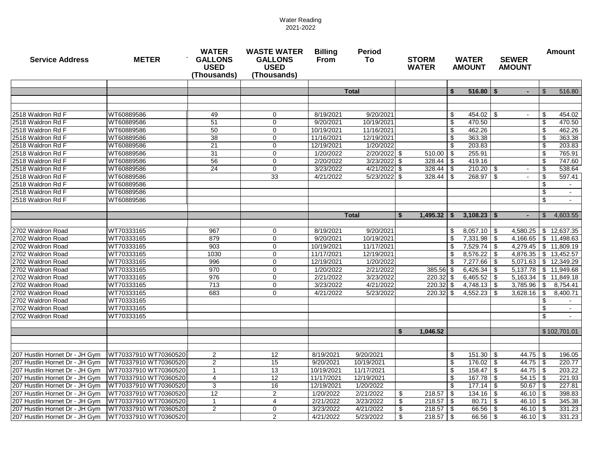| <b>Service Address</b>                                           | <b>METER</b>                                   | <b>WATER</b><br><b>GALLONS</b><br><b>USED</b><br>(Thousands) | <b>WASTE WATER</b><br><b>GALLONS</b><br><b>USED</b><br>(Thousands) | <b>Billing</b><br><b>From</b> | <b>STORM</b><br><b>WATER</b> | <b>WATER</b><br><b>AMOUNT</b>  |                           | <b>SEWER</b><br><b>AMOUNT</b>  |      | <b>Amount</b>             |              |                  |
|------------------------------------------------------------------|------------------------------------------------|--------------------------------------------------------------|--------------------------------------------------------------------|-------------------------------|------------------------------|--------------------------------|---------------------------|--------------------------------|------|---------------------------|--------------|------------------|
|                                                                  |                                                |                                                              |                                                                    |                               |                              |                                |                           |                                |      |                           |              |                  |
|                                                                  |                                                |                                                              |                                                                    |                               | <b>Total</b>                 |                                | \$                        | $516.80$   \$                  |      |                           |              | 516.80           |
|                                                                  |                                                |                                                              |                                                                    |                               |                              |                                |                           |                                |      |                           |              |                  |
|                                                                  |                                                |                                                              |                                                                    |                               |                              |                                |                           |                                |      |                           |              |                  |
| 2518 Waldron Rd F                                                | WT60889586                                     | 49                                                           | $\mathbf 0$                                                        | 8/19/2021                     | 9/20/2021                    |                                | \$                        | $454.02$ \ \$                  |      |                           | \$           | 454.02           |
| 2518 Waldron Rd F                                                | WT60889586                                     | 51                                                           | $\mathbf 0$                                                        | 9/20/2021                     | 10/19/2021                   |                                | \$                        | 470.50                         |      |                           | \$           | 470.50           |
| 2518 Waldron Rd F                                                | WT60889586                                     | 50                                                           | 0                                                                  | 10/19/2021                    | 11/16/2021<br>12/19/2021     |                                | $\sqrt[6]{3}$             | 462.26<br>363.38               |      |                           | \$           | 462.26           |
| 2518 Waldron Rd F                                                | WT60889586                                     | 38                                                           | $\mathbf 0$                                                        | 11/16/2021                    |                              |                                | $\sqrt[6]{3}$             |                                |      |                           | \$           | 363.38           |
| 2518 Waldron Rd F<br>2518 Waldron Rd F                           | WT60889586<br>WT60889586                       | 21<br>$\overline{31}$                                        | $\mathbf 0$<br>$\mathbf 0$                                         | 12/19/2021<br>1/20/2022       | 1/20/2022<br>2/20/2022 \$    |                                | \$                        | 203.83<br>255.91               |      |                           | \$           | 203.83<br>765.91 |
| 2518 Waldron Rd F                                                | WT60889586                                     | 56                                                           | $\mathbf 0$                                                        | 2/20/2022                     | 3/23/2022 \$                 | $510.00$ \ \$<br>$328.44$ \ \$ |                           | 419.16                         |      |                           | \$<br>\$     | 747.60           |
| 2518 Waldron Rd F                                                | WT60889586                                     | 24                                                           | $\mathbf 0$                                                        | 3/23/2022                     | 4/21/2022 \$                 | 328.44                         | l \$                      | $210.20$ \ \$                  |      |                           | \$           | 538.64           |
| 2518 Waldron Rd F                                                | WT60889586                                     |                                                              | 33                                                                 | 4/21/2022                     | $\overline{5}/23/2022$ \$    | 328.44                         | - \$                      | 268.97                         | l \$ |                           | - \$         | 597.41           |
| 2518 Waldron Rd F                                                | WT60889586                                     |                                                              |                                                                    |                               |                              |                                |                           |                                |      |                           | \$           |                  |
| 2518 Waldron Rd F                                                | WT60889586                                     |                                                              |                                                                    |                               |                              |                                |                           |                                |      |                           | \$           | $\sim$           |
| 2518 Waldron Rd F                                                | WT60889586                                     |                                                              |                                                                    |                               |                              |                                |                           |                                |      |                           | \$           | $\sim$           |
|                                                                  |                                                |                                                              |                                                                    |                               |                              |                                |                           |                                |      |                           |              |                  |
|                                                                  |                                                |                                                              |                                                                    |                               | <b>Total</b>                 | Ŝ.<br>1,495.32                 | -\$                       | $3,108.23$ \$                  |      |                           | $\mathbb{S}$ | 4,603.55         |
|                                                                  |                                                |                                                              |                                                                    |                               |                              |                                |                           |                                |      |                           |              |                  |
| 2702 Waldron Road                                                | WT70333165                                     | 967                                                          | $\mathbf 0$                                                        | 8/19/2021                     | 9/20/2021                    |                                | \$                        | $8,057.10$ \$                  |      | 4,580.25 \$ 12,637.35     |              |                  |
| 2702 Waldron Road                                                | WT70333165                                     | 879                                                          | 0                                                                  | 9/20/2021                     | 10/19/2021                   |                                | $\boldsymbol{\mathsf{S}}$ | $7,331.98$ \$                  |      | $4,166.65$ \ \$ 11,498.63 |              |                  |
| 2702 Waldron Road                                                | WT70333165                                     | 903                                                          | 0                                                                  | 10/19/2021                    | 11/17/2021                   |                                | $\boldsymbol{\mathsf{S}}$ | 7,529.74                       | l \$ | 4,279.45                  |              | \$11,809.19      |
| 2702 Waldron Road                                                | WT70333165                                     | 1030                                                         | 0                                                                  | 11/17/2021                    | 12/19/2021                   |                                | $\boldsymbol{\mathsf{S}}$ | 8,576.22                       | l Si | 4,876.35                  |              | \$13,452.57      |
| 2702 Waldron Road                                                | WT70333165                                     | 996                                                          | $\mathbf 0$                                                        | 12/19/2021                    | 1/20/2022                    |                                | -\$                       | $7,277.66$ \ \$                |      | 5,071.63                  |              | \$12,349.29      |
| 2702 Waldron Road                                                | WT70333165                                     | 970                                                          | $\mathbf 0$                                                        | 1/20/2022                     | 2/21/2022                    | 385.56 \$                      |                           | 6,426.34 \$                    |      | 5,137.78 \$ 11,949.68     |              |                  |
| 2702 Waldron Road                                                | WT70333165                                     | 976                                                          | $\mathbf 0$                                                        | 2/21/2022                     | 3/23/2022                    | $220.32$ \$                    |                           | 6,465.52 $\frac{1}{9}$         |      | $\overline{5,163.34}$     |              | \$11,849.18      |
| 2702 Waldron Road                                                | WT70333165                                     | 713                                                          | $\mathbf 0$                                                        | 3/23/2022                     | 4/21/2022                    | $220.32$ \$                    |                           | $4,748.13$ \$                  |      | 3,785.96                  | \$           | 8,754.41         |
| 2702 Waldron Road                                                | WT70333165                                     | 683                                                          | $\mathbf 0$                                                        | 4/21/2022                     | 5/23/2022                    | $220.32$ \$                    |                           | 4,552.23                       | l \$ | 3,628.16                  | -\$          | 8,400.71         |
| 2702 Waldron Road                                                | WT70333165                                     |                                                              |                                                                    |                               |                              |                                |                           |                                |      |                           |              |                  |
| 2702 Waldron Road                                                | WT70333165                                     |                                                              |                                                                    |                               |                              |                                |                           |                                |      |                           | \$           |                  |
| 2702 Waldron Road                                                | WT70333165                                     |                                                              |                                                                    |                               |                              |                                |                           |                                |      |                           | \$           |                  |
|                                                                  |                                                |                                                              |                                                                    |                               |                              |                                |                           |                                |      |                           |              |                  |
|                                                                  |                                                |                                                              |                                                                    |                               |                              | 1,046.52                       |                           |                                |      |                           |              | \$102,701.01     |
|                                                                  |                                                |                                                              |                                                                    |                               |                              |                                |                           |                                |      |                           |              |                  |
|                                                                  |                                                |                                                              |                                                                    |                               |                              |                                |                           |                                |      |                           |              |                  |
| 207 Hustlin Hornet Dr - JH Gym                                   | WT70337910 WT70360520                          | $\overline{2}$<br>2                                          | 12<br>15                                                           | 8/19/2021<br>9/20/2021        | 9/20/2021                    |                                | \$                        | $151.30$ \$                    |      |                           |              | 196.05           |
| 207 Hustlin Hornet Dr - JH Gym<br>207 Hustlin Hornet Dr - JH Gym | WT70337910 WT70360520<br>WT70337910 WT70360520 |                                                              | 13                                                                 | 10/19/2021                    | 10/19/2021<br>11/17/2021     |                                | \$                        | $176.02$ \ \$<br>$158.47$ \ \$ |      | $44.75$ \\$               |              | 220.77           |
| 207 Hustlin Hornet Dr - JH Gym                                   | WT70337910 WT70360520                          | 4                                                            | 12                                                                 | 11/17/2021                    | 12/19/2021                   |                                | $\frac{1}{2}$<br>\$       |                                |      |                           |              | 203.22<br>221.93 |
| 207 Hustlin Hornet Dr - JH Gym   WT70337910 WT70360520           |                                                | 3                                                            | 16                                                                 | 12/19/2021                    | 1/20/2022                    |                                | \$                        | $177.14$ \\$                   |      |                           |              | 227.81           |
| 207 Hustlin Hornet Dr - JH Gym   WT70337910 WT70360520           |                                                | 12                                                           | $\overline{2}$                                                     | 1/20/2022                     | 2/21/2022                    | $218.57$ \$<br>\$              |                           |                                |      | $46.10$ \ \$              |              | 398.83           |
| 207 Hustlin Hornet Dr - JH Gym   WT70337910 WT70360520           |                                                |                                                              | 4                                                                  | 2/21/2022                     | 3/23/2022                    | $218.57$ \\$<br>S              |                           |                                |      | $46.10$   \$              |              | 345.38           |
| 207 Hustlin Hornet Dr - JH Gym   WT70337910 WT70360520           |                                                | $\overline{2}$                                               | $\mathbf 0$                                                        | 3/23/2022                     | 4/21/2022                    | $218.57$ \$                    |                           | $66.56$ \ \$                   |      | $46.10$   \$              |              | 331.23           |
| 207 Hustlin Hornet Dr - JH Gym   WT70337910 WT70360520           |                                                |                                                              | $\overline{c}$                                                     | 4/21/2022                     | 5/23/2022                    | $218.57$ \\$                   |                           |                                |      |                           |              | 331.23           |
|                                                                  |                                                |                                                              |                                                                    |                               |                              |                                |                           |                                |      |                           |              |                  |